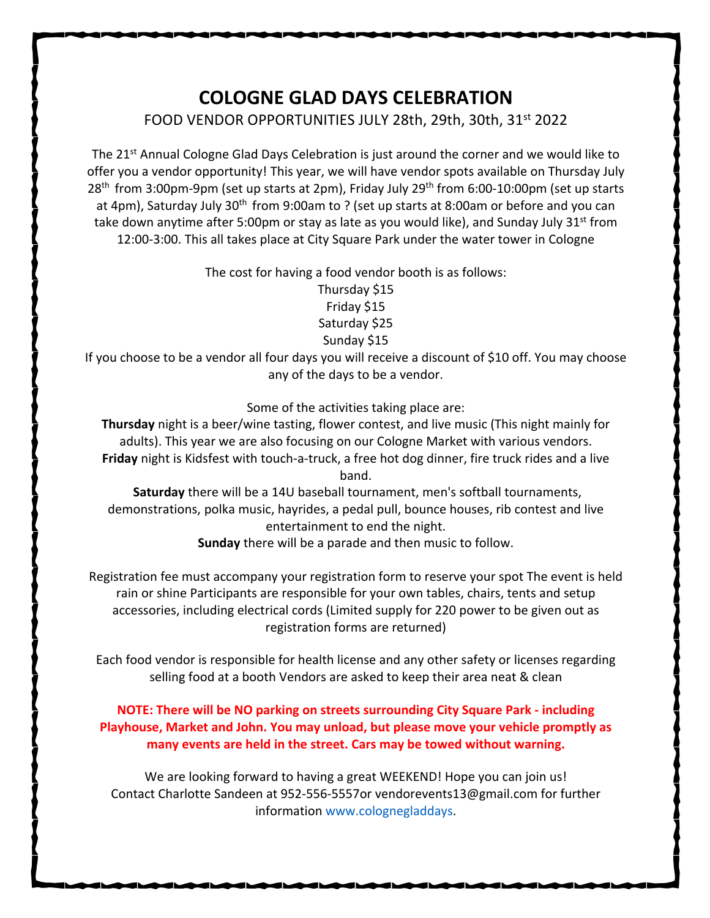## **COLOGNE GLAD DAYS CELEBRATION** FOOD VENDOR OPPORTUNITIES JULY 28th, 29th, 30th, 31<sup>st</sup> 2022

The 21<sup>st</sup> Annual Cologne Glad Days Celebration is just around the corner and we would like to offer you a vendor opportunity! This year, we will have vendor spots available on Thursday July 28<sup>th</sup> from 3:00pm-9pm (set up starts at 2pm), Friday July 29<sup>th</sup> from 6:00-10:00pm (set up starts at 4pm), Saturday July 30<sup>th</sup> from 9:00am to ? (set up starts at 8:00am or before and you can take down anytime after 5:00pm or stay as late as you would like), and Sunday July 31 $st$  from 12:00-3:00. This all takes place at City Square Park under the water tower in Cologne

The cost for having a food vendor booth is as follows:

Thursday \$15 Friday \$15 Saturday \$25 Sunday \$15

If you choose to be a vendor all four days you will receive a discount of \$10 off. You may choose any of the days to be a vendor.

Some of the activities taking place are:

**Thursday** night is a beer/wine tasting, flower contest, and live music (This night mainly for adults). This year we are also focusing on our Cologne Market with various vendors. **Friday** night is Kidsfest with touch-a-truck, a free hot dog dinner, fire truck rides and a live band.

**Saturday** there will be a 14U baseball tournament, men's softball tournaments, demonstrations, polka music, hayrides, a pedal pull, bounce houses, rib contest and live entertainment to end the night.

**Sunday** there will be a parade and then music to follow.

Registration fee must accompany your registration form to reserve your spot The event is held rain or shine Participants are responsible for your own tables, chairs, tents and setup accessories, including electrical cords (Limited supply for 220 power to be given out as registration forms are returned)

Each food vendor is responsible for health license and any other safety or licenses regarding selling food at a booth Vendors are asked to keep their area neat & clean

## **NOTE: There will be NO parking on streets surrounding City Square Park - including Playhouse, Market and John. You may unload, but please move your vehicle promptly as many events are held in the street. Cars may be towed without warning.**

We are looking forward to having a great WEEKEND! Hope you can join us! Contact Charlotte Sandeen at 952-556-5557or vendorevents13@gmail.com for further information www.colognegladdays.